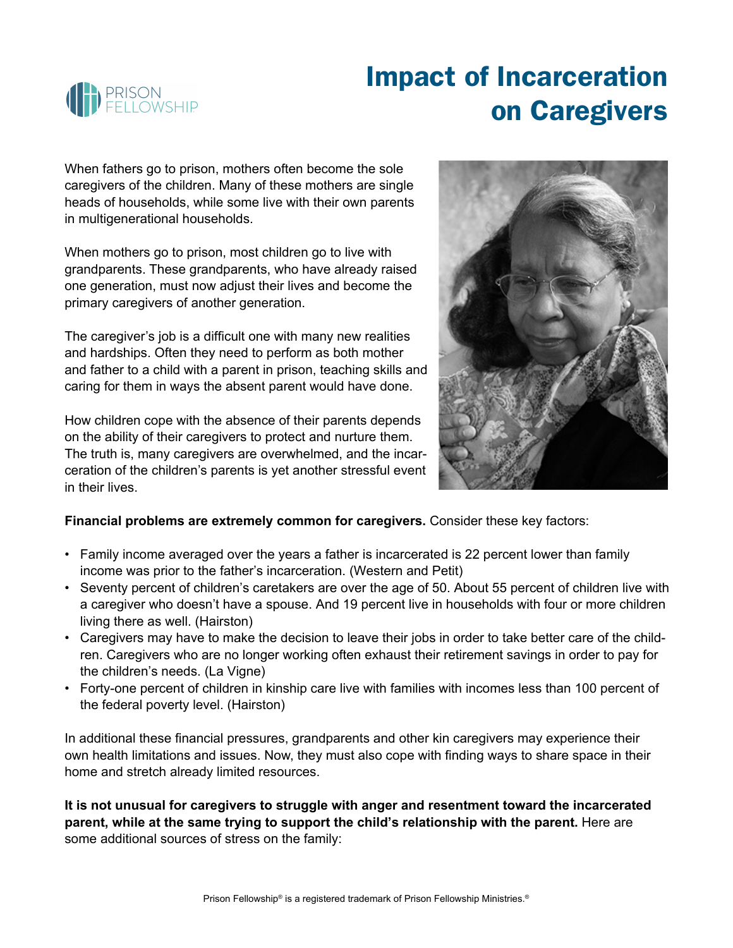

## Impact of Incarceration on Caregivers

When fathers go to prison, mothers often become the sole caregivers of the children. Many of these mothers are single heads of households, while some live with their own parents in multigenerational households.

When mothers go to prison, most children go to live with grandparents. These grandparents, who have already raised one generation, must now adjust their lives and become the primary caregivers of another generation.

The caregiver's job is a difficult one with many new realities and hardships. Often they need to perform as both mother and father to a child with a parent in prison, teaching skills and caring for them in ways the absent parent would have done.

How children cope with the absence of their parents depends on the ability of their caregivers to protect and nurture them. The truth is, many caregivers are overwhelmed, and the incarceration of the children's parents is yet another stressful event in their lives.



## **Financial problems are extremely common for caregivers.** Consider these key factors:

- Family income averaged over the years a father is incarcerated is 22 percent lower than family income was prior to the father's incarceration. (Western and Petit)
- Seventy percent of children's caretakers are over the age of 50. About 55 percent of children live with a caregiver who doesn't have a spouse. And 19 percent live in households with four or more children living there as well. (Hairston)
- Caregivers may have to make the decision to leave their jobs in order to take better care of the children. Caregivers who are no longer working often exhaust their retirement savings in order to pay for the children's needs. (La Vigne)
- Forty-one percent of children in kinship care live with families with incomes less than 100 percent of the federal poverty level. (Hairston)

In additional these financial pressures, grandparents and other kin caregivers may experience their own health limitations and issues. Now, they must also cope with finding ways to share space in their home and stretch already limited resources.

**It is not unusual for caregivers to struggle with anger and resentment toward the incarcerated parent, while at the same trying to support the child's relationship with the parent.** Here are some additional sources of stress on the family: